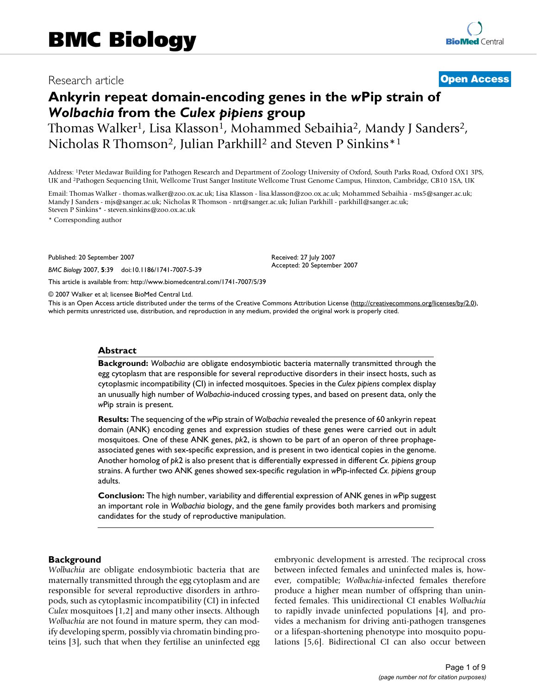# Research article **[Open Access](http://www.biomedcentral.com/info/about/charter/)**

# **Ankyrin repeat domain-encoding genes in the** *w***Pip strain of**  *Wolbachia* **from the** *Culex pipiens* **group**

Thomas Walker<sup>1</sup>, Lisa Klasson<sup>1</sup>, Mohammed Sebaihia<sup>2</sup>, Mandy J Sanders<sup>2</sup>, Nicholas R Thomson<sup>2</sup>, Julian Parkhill<sup>2</sup> and Steven P Sinkins<sup>\*1</sup>

Address: 1Peter Medawar Building for Pathogen Research and Department of Zoology University of Oxford, South Parks Road, Oxford OX1 3PS, UK and 2Pathogen Sequencing Unit, Wellcome Trust Sanger Institute Wellcome Trust Genome Campus, Hinxton, Cambridge, CB10 1SA, UK

Email: Thomas Walker - thomas.walker@zoo.ox.ac.uk; Lisa Klasson - lisa.klasson@zoo.ox.ac.uk; Mohammed Sebaihia - ms5@sanger.ac.uk; Mandy J Sanders - mjs@sanger.ac.uk; Nicholas R Thomson - nrt@sanger.ac.uk; Julian Parkhill - parkhill@sanger.ac.uk; Steven P Sinkins\* - steven.sinkins@zoo.ox.ac.uk

\* Corresponding author

Published: 20 September 2007

*BMC Biology* 2007, **5**:39 doi:10.1186/1741-7007-5-39

[This article is available from: http://www.biomedcentral.com/1741-7007/5/39](http://www.biomedcentral.com/1741-7007/5/39)

© 2007 Walker et al; licensee BioMed Central Ltd.

This is an Open Access article distributed under the terms of the Creative Commons Attribution License [\(http://creativecommons.org/licenses/by/2.0\)](http://creativecommons.org/licenses/by/2.0), which permits unrestricted use, distribution, and reproduction in any medium, provided the original work is properly cited.

Received: 27 July 2007 Accepted: 20 September 2007

#### **Abstract**

**Background:** *Wolbachia* are obligate endosymbiotic bacteria maternally transmitted through the egg cytoplasm that are responsible for several reproductive disorders in their insect hosts, such as cytoplasmic incompatibility (CI) in infected mosquitoes. Species in the *Culex pipiens* complex display an unusually high number of *Wolbachia*-induced crossing types, and based on present data, only the *w*Pip strain is present.

**Results:** The sequencing of the *w*Pip strain of *Wolbachia* revealed the presence of 60 ankyrin repeat domain (ANK) encoding genes and expression studies of these genes were carried out in adult mosquitoes. One of these ANK genes, *pk*2, is shown to be part of an operon of three prophageassociated genes with sex-specific expression, and is present in two identical copies in the genome. Another homolog of *pk*2 is also present that is differentially expressed in different *Cx. pipiens* group strains. A further two ANK genes showed sex-specific regulation in *w*Pip-infected *Cx. pipiens* group adults.

**Conclusion:** The high number, variability and differential expression of ANK genes in *w*Pip suggest an important role in *Wolbachia* biology, and the gene family provides both markers and promising candidates for the study of reproductive manipulation.

#### **Background**

*Wolbachia* are obligate endosymbiotic bacteria that are maternally transmitted through the egg cytoplasm and are responsible for several reproductive disorders in arthropods, such as cytoplasmic incompatibility (CI) in infected *Culex* mosquitoes [1,2] and many other insects. Although *Wolbachia* are not found in mature sperm, they can modify developing sperm, possibly via chromatin binding proteins [3], such that when they fertilise an uninfected egg embryonic development is arrested. The reciprocal cross between infected females and uninfected males is, however, compatible; *Wolbachia*-infected females therefore produce a higher mean number of offspring than uninfected females. This unidirectional CI enables *Wolbachia* to rapidly invade uninfected populations [4], and provides a mechanism for driving anti-pathogen transgenes or a lifespan-shortening phenotype into mosquito populations [5,6]. Bidirectional CI can also occur between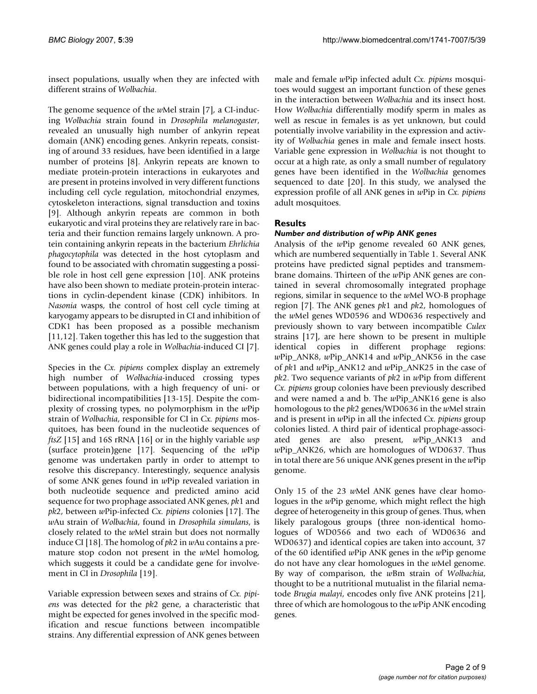insect populations, usually when they are infected with different strains of *Wolbachia*.

The genome sequence of the *w*Mel strain [7], a CI-inducing *Wolbachia* strain found in *Drosophila melanogaster*, revealed an unusually high number of ankyrin repeat domain (ANK) encoding genes. Ankyrin repeats, consisting of around 33 residues, have been identified in a large number of proteins [8]. Ankyrin repeats are known to mediate protein-protein interactions in eukaryotes and are present in proteins involved in very different functions including cell cycle regulation, mitochondrial enzymes, cytoskeleton interactions, signal transduction and toxins [9]. Although ankyrin repeats are common in both eukaryotic and viral proteins they are relatively rare in bacteria and their function remains largely unknown. A protein containing ankyrin repeats in the bacterium *Ehrlichia phagocytophila* was detected in the host cytoplasm and found to be associated with chromatin suggesting a possible role in host cell gene expression [10]. ANK proteins have also been shown to mediate protein-protein interactions in cyclin-dependent kinase (CDK) inhibitors. In *Nasonia* wasps, the control of host cell cycle timing at karyogamy appears to be disrupted in CI and inhibition of CDK1 has been proposed as a possible mechanism [11,12]. Taken together this has led to the suggestion that ANK genes could play a role in *Wolbachia*-induced CI [7].

Species in the *Cx. pipiens* complex display an extremely high number of *Wolbachia*-induced crossing types between populations, with a high frequency of uni- or bidirectional incompatibilities [13-15]. Despite the complexity of crossing types, no polymorphism in the *w*Pip strain of *Wolbachia*, responsible for CI in *Cx. pipiens* mosquitoes, has been found in the nucleotide sequences of *ftsZ* [15] and 16S rRNA [16] or in the highly variable *wsp* (surface protein)gene [17]. Sequencing of the *w*Pip genome was undertaken partly in order to attempt to resolve this discrepancy. Interestingly, sequence analysis of some ANK genes found in *w*Pip revealed variation in both nucleotide sequence and predicted amino acid sequence for two prophage associated ANK genes, *pk*1 and *pk*2, between *w*Pip-infected *Cx. pipiens* colonies [17]. The *w*Au strain of *Wolbachia*, found in *Drosophila simulans*, is closely related to the *w*Mel strain but does not normally induce CI [18]. The homolog of *pk*2 in *w*Au contains a premature stop codon not present in the *w*Mel homolog, which suggests it could be a candidate gene for involvement in CI in *Drosophila* [19].

Variable expression between sexes and strains of *Cx. pipiens* was detected for the *pk*2 gene, a characteristic that might be expected for genes involved in the specific modification and rescue functions between incompatible strains. Any differential expression of ANK genes between

male and female *w*Pip infected adult *Cx. pipiens* mosquitoes would suggest an important function of these genes in the interaction between *Wolbachia* and its insect host. How *Wolbachia* differentially modify sperm in males as well as rescue in females is as yet unknown, but could potentially involve variability in the expression and activity of *Wolbachia* genes in male and female insect hosts. Variable gene expression in *Wolbachia* is not thought to occur at a high rate, as only a small number of regulatory genes have been identified in the *Wolbachia* genomes sequenced to date [20]. In this study, we analysed the expression profile of all ANK genes in *w*Pip in *Cx. pipiens* adult mosquitoes.

# **Results**

# *Number and distribution of* **w***Pip ANK genes*

Analysis of the *w*Pip genome revealed 60 ANK genes, which are numbered sequentially in Table 1. Several ANK proteins have predicted signal peptides and transmembrane domains. Thirteen of the *w*Pip ANK genes are contained in several chromosomally integrated prophage regions, similar in sequence to the *w*Mel WO-B prophage region [7]. The ANK genes *pk*1 and *pk*2, homologues of the *w*Mel genes WD0596 and WD0636 respectively and previously shown to vary between incompatible *Culex* strains [17], are here shown to be present in multiple identical copies in different prophage regions: *w*Pip\_ANK8, *w*Pip\_ANK14 and *w*Pip\_ANK56 in the case of *pk*1 and *w*Pip\_ANK12 and *w*Pip\_ANK25 in the case of *pk*2. Two sequence variants of *pk*2 in *w*Pip from different *Cx. pipiens* group colonies have been previously described and were named a and b. The *w*Pip\_ANK16 gene is also homologous to the *pk*2 genes/WD0636 in the *w*Mel strain and is present in *w*Pip in all the infected *Cx. pipiens* group colonies listed. A third pair of identical prophage-associated genes are also present, *w*Pip\_ANK13 and *w*Pip\_ANK26, which are homologues of WD0637. Thus in total there are 56 unique ANK genes present in the *w*Pip genome.

Only 15 of the 23 *w*Mel ANK genes have clear homologues in the *w*Pip genome, which might reflect the high degree of heterogeneity in this group of genes. Thus, when likely paralogous groups (three non-identical homologues of WD0566 and two each of WD0636 and WD0637) and identical copies are taken into account, 37 of the 60 identified *w*Pip ANK genes in the *w*Pip genome do not have any clear homologues in the *w*Mel genome. By way of comparison, the *w*Bm strain of *Wolbachia*, thought to be a nutritional mutualist in the filarial nematode *Brugia malayi*, encodes only five ANK proteins [21], three of which are homologous to the *w*Pip ANK encoding genes.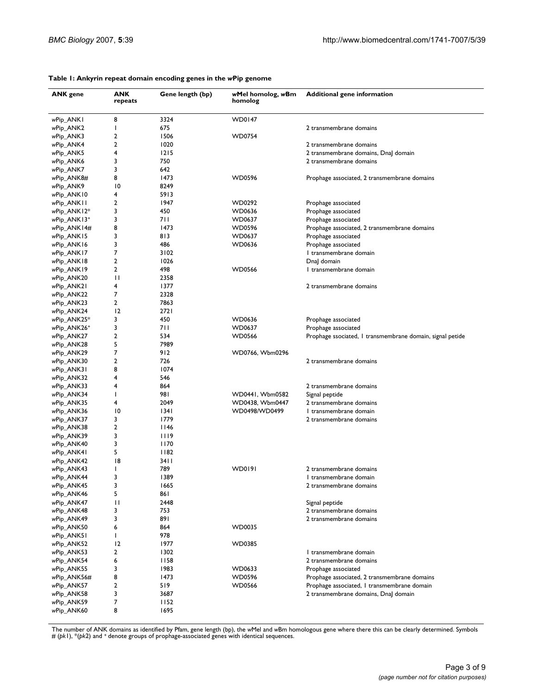| <b>ANK</b> gene           | ANK<br>repeats       | Gene length (bp) | wMel homolog, wBm<br>homolog     | <b>Additional gene information</b>                        |
|---------------------------|----------------------|------------------|----------------------------------|-----------------------------------------------------------|
| wPip_ANK1                 | 8                    | 3324             | <b>WD0147</b>                    |                                                           |
| wPip_ANK2                 | J.                   | 675              |                                  | 2 transmembrane domains                                   |
| wPip_ANK3                 | 2                    | 1506             | <b>WD0754</b>                    |                                                           |
| wPip_ANK4                 | 2                    | 1020             |                                  | 2 transmembrane domains                                   |
| wPip_ANK5                 | 4                    | 1215             |                                  | 2 transmembrane domains, DnaJ domain                      |
| wPip_ANK6                 | 3                    | 750              |                                  | 2 transmembrane domains                                   |
| wPip_ANK7                 | 3                    | 642              |                                  |                                                           |
| wPip_ANK8#                | 8                    | 1473             | WD0596                           | Prophage associated, 2 transmembrane domains              |
| wPip_ANK9                 | $\overline{10}$      | 8249             |                                  |                                                           |
| wPip_ANK10                | 4<br>2               | 5913<br>1947     |                                  |                                                           |
| wPip_ANK11<br>wPip_ANK12* | 3                    | 450              | WD0292<br>WD0636                 | Prophage associated<br>Prophage associated                |
| wPip_ANK13 <sup>+</sup>   | 3                    | 711              | WD0637                           | Prophage associated                                       |
| wPip_ANK14#               | 8                    | 1473             | WD0596                           | Prophage associated, 2 transmembrane domains              |
| wPip_ANK15                | 3                    | 813              | WD0637                           | Prophage associated                                       |
| wPip_ANK16                | 3                    | 486              | WD0636                           | Prophage associated                                       |
| wPip_ANK17                | 7                    | 3102             |                                  | I transmembrane domain                                    |
| wPip_ANK18                | 2                    | 1026             |                                  | Dnal domain                                               |
| wPip_ANK19                | 2                    | 498              | <b>WD0566</b>                    | I transmembrane domain                                    |
| wPip_ANK20                | $\mathbf{H}$         | 2358             |                                  |                                                           |
| wPip_ANK21                | 4                    | 1377             |                                  | 2 transmembrane domains                                   |
| wPip_ANK22                | 7                    | 2328             |                                  |                                                           |
| wPip_ANK23                | 2                    | 7863             |                                  |                                                           |
| wPip_ANK24                | 12                   | 2721             |                                  |                                                           |
| wPip_ANK25*               | 3                    | 450              | WD0636                           | Prophage associated                                       |
| wPip_ANK26+               | 3                    | 711              | WD0637                           | Prophage associated                                       |
| wPip_ANK27                | 2                    | 534              | <b>WD0566</b>                    | Prophage ssociated, I transmembrane domain, signal petide |
| wPip_ANK28                | 5                    | 7989             |                                  |                                                           |
| wPip_ANK29                | 7                    | 912              | WD0766, Wbm0296                  |                                                           |
| wPip_ANK30                | 2                    | 726              |                                  | 2 transmembrane domains                                   |
| wPip_ANK31                | 8                    | 1074             |                                  |                                                           |
| wPip_ANK32                | 4                    | 546              |                                  |                                                           |
| wPip_ANK33                | 4                    | 864              |                                  | 2 transmembrane domains                                   |
| wPip_ANK34                | $\mathbf{I}$         | 981              | WD0441, Wbm0582                  | Signal peptide                                            |
| wPip_ANK35                | 4<br>$\overline{10}$ | 2049<br>1341     | WD0438, Wbm0447<br>WD0498/WD0499 | 2 transmembrane domains<br>I transmembrane domain         |
| wPip_ANK36                | 3                    | 1779             |                                  | 2 transmembrane domains                                   |
| wPip_ANK37<br>wPip_ANK38  | 2                    | 1146             |                                  |                                                           |
| wPip_ANK39                | 3                    | 1119             |                                  |                                                           |
| wPip_ANK40                | 3                    | 1170             |                                  |                                                           |
| wPip_ANK41                | 5                    | 1182             |                                  |                                                           |
| wPip_ANK42                | 18                   | 34 I I           |                                  |                                                           |
| wPip_ANK43                | ı                    | 789              | WD0191                           | 2 transmembrane domains                                   |
| wPip_ANK44                | 3                    | 1389             |                                  | I transmembrane domain                                    |
| wPip_ANK45                | 3                    | 1665             |                                  | 2 transmembrane domains                                   |
| wPip_ANK46                | 5                    | 861              |                                  |                                                           |
| wPip_ANK47                | П                    | 2448             |                                  | Signal peptide                                            |
| wPip_ANK48                | 3                    | 753              |                                  | 2 transmembrane domains                                   |
| wPip_ANK49                | 3                    | 891              |                                  | 2 transmembrane domains                                   |
| wPip_ANK50                | 6                    | 864              | WD0035                           |                                                           |
| wPip_ANK51                | $\mathbf{I}$         | 978              |                                  |                                                           |
| wPip_ANK52                | 12                   | 1977             | WD0385                           |                                                           |
| wPip_ANK53                | 2                    | 1302             |                                  | I transmembrane domain                                    |
| wPip_ANK54                | 6                    | 1158             |                                  | 2 transmembrane domains                                   |
| wPip_ANK55                | 3                    | 1983             | WD0633                           | Prophage associated                                       |
| wPip_ANK56#               | 8                    | 1473             | <b>WD0596</b>                    | Prophage associated, 2 transmembrane domains              |
| wPip_ANK57                | 2                    | 519              | <b>WD0566</b>                    | Prophage associated, I transmembrane domain               |
| wPip_ANK58                | 3                    | 3687             |                                  | 2 transmembrane domains, DnaJ domain                      |
| wPip_ANK59                | 7<br>8               | 1152<br>1695     |                                  |                                                           |
| wPip_ANK60                |                      |                  |                                  |                                                           |

#### **Table 1: Ankyrin repeat domain encoding genes in the** *w***Pip genome**

The number of ANK domains as identified by Pfam, gene length (bp), the wMel and wBm homologous gene where there this can be clearly determined. Symbols<br># (pk1), \*(pk2) and \* denote groups of prophage-associated genes with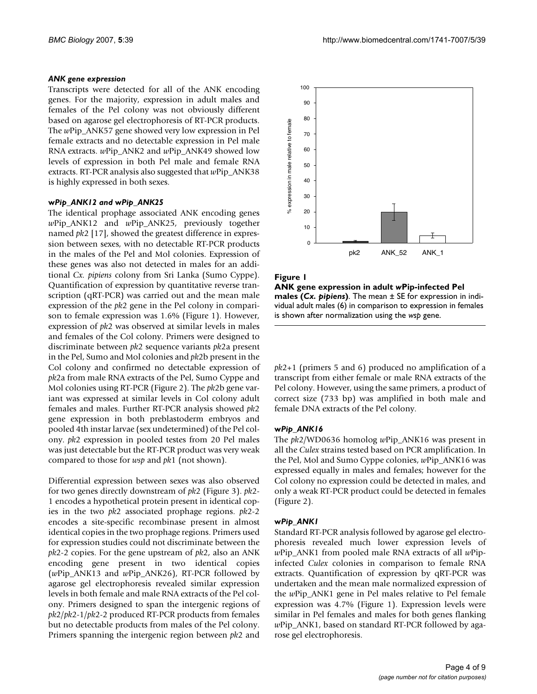## *ANK gene expression*

Transcripts were detected for all of the ANK encoding genes. For the majority, expression in adult males and females of the Pel colony was not obviously different based on agarose gel electrophoresis of RT-PCR products. The *w*Pip\_ANK57 gene showed very low expression in Pel female extracts and no detectable expression in Pel male RNA extracts. *w*Pip\_ANK2 and *w*Pip\_ANK49 showed low levels of expression in both Pel male and female RNA extracts. RT-PCR analysis also suggested that *w*Pip\_ANK38 is highly expressed in both sexes.

#### **w***Pip\_ANK12 and* **w***Pip\_ANK25*

The identical prophage associated ANK encoding genes *w*Pip\_ANK12 and *w*Pip\_ANK25, previously together named *pk*2 [17], showed the greatest difference in expression between sexes, with no detectable RT-PCR products in the males of the Pel and Mol colonies. Expression of these genes was also not detected in males for an additional *Cx. pipiens* colony from Sri Lanka (Sumo Cyppe). Quantification of expression by quantitative reverse transcription (qRT-PCR) was carried out and the mean male expression of the *pk*2 gene in the Pel colony in comparison to female expression was 1.6% (Figure 1). However, expression of *pk*2 was observed at similar levels in males and females of the Col colony. Primers were designed to discriminate between *pk*2 sequence variants *pk*2a present in the Pel, Sumo and Mol colonies and *pk*2b present in the Col colony and confirmed no detectable expression of *pk*2a from male RNA extracts of the Pel, Sumo Cyppe and Mol colonies using RT-PCR (Figure 2). The *pk*2b gene variant was expressed at similar levels in Col colony adult females and males. Further RT-PCR analysis showed *pk*2 gene expression in both preblastoderm embryos and pooled 4th instar larvae (sex undetermined) of the Pel colony. *pk*2 expression in pooled testes from 20 Pel males was just detectable but the RT-PCR product was very weak compared to those for *wsp* and *pk*1 (not shown).

Differential expression between sexes was also observed for two genes directly downstream of *pk*2 (Figure 3). *pk*2- 1 encodes a hypothetical protein present in identical copies in the two *pk*2 associated prophage regions. *pk*2-2 encodes a site-specific recombinase present in almost identical copies in the two prophage regions. Primers used for expression studies could not discriminate between the *pk*2-2 copies. For the gene upstream of *pk*2, also an ANK encoding gene present in two identical copies (*w*Pip\_ANK13 and *w*Pip\_ANK26), RT-PCR followed by agarose gel electrophoresis revealed similar expression levels in both female and male RNA extracts of the Pel colony. Primers designed to span the intergenic regions of *pk*2/*pk*2-1/*pk*2-2 produced RT-PCR products from females but no detectable products from males of the Pel colony. Primers spanning the intergenic region between *pk*2 and



## **Figure 1**

**ANK gene expression in adult** *w***Pip-infected Pel males (***Cx. pipiens***)**. The mean ± SE for expression in individual adult males (6) in comparison to expression in females is shown after normalization using the *wsp* gene.

*pk*2+1 (primers 5 and 6) produced no amplification of a transcript from either female or male RNA extracts of the Pel colony. However, using the same primers, a product of correct size (733 bp) was amplified in both male and female DNA extracts of the Pel colony.

## **w***Pip\_ANK16*

The *pk*2/WD0636 homolog *w*Pip\_ANK16 was present in all the *Culex* strains tested based on PCR amplification. In the Pel, Mol and Sumo Cyppe colonies, *w*Pip\_ANK16 was expressed equally in males and females; however for the Col colony no expression could be detected in males, and only a weak RT-PCR product could be detected in females (Figure 2).

## **w***Pip\_ANK1*

Standard RT-PCR analysis followed by agarose gel electrophoresis revealed much lower expression levels of *w*Pip\_ANK1 from pooled male RNA extracts of all *w*Pipinfected *Culex* colonies in comparison to female RNA extracts. Quantification of expression by qRT-PCR was undertaken and the mean male normalized expression of the *w*Pip\_ANK1 gene in Pel males relative to Pel female expression was 4.7% (Figure 1). Expression levels were similar in Pel females and males for both genes flanking *w*Pip\_ANK1, based on standard RT-PCR followed by agarose gel electrophoresis.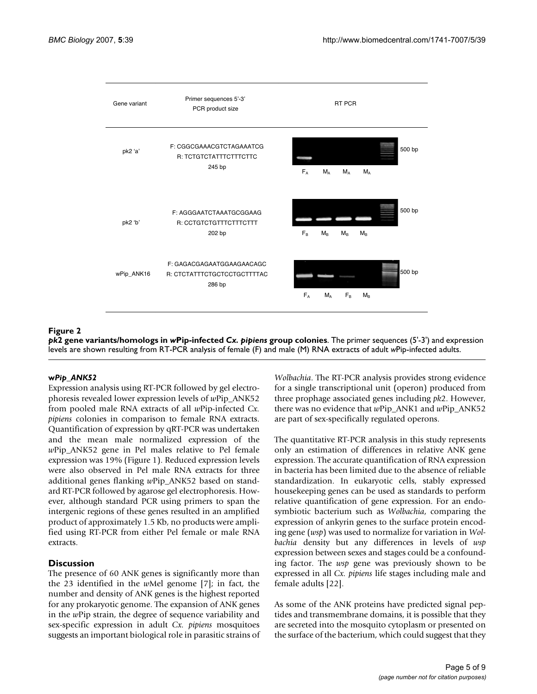

#### **Figure 2**

*pk***2 gene variants/homologs in** *w***Pip-infected** *Cx. pipiens* **group colonies**. The primer sequences (5'-3') and expression levels are shown resulting from RT-PCR analysis of female (F) and male (M) RNA extracts of adult *w*Pip-infected adults.

#### **w***Pip\_ANK52*

Expression analysis using RT-PCR followed by gel electrophoresis revealed lower expression levels of *w*Pip\_ANK52 from pooled male RNA extracts of all *w*Pip-infected *Cx. pipiens* colonies in comparison to female RNA extracts. Quantification of expression by qRT-PCR was undertaken and the mean male normalized expression of the *w*Pip\_ANK52 gene in Pel males relative to Pel female expression was 19% (Figure 1). Reduced expression levels were also observed in Pel male RNA extracts for three additional genes flanking *w*Pip\_ANK52 based on standard RT-PCR followed by agarose gel electrophoresis. However, although standard PCR using primers to span the intergenic regions of these genes resulted in an amplified product of approximately 1.5 Kb, no products were amplified using RT-PCR from either Pel female or male RNA extracts.

## **Discussion**

The presence of 60 ANK genes is significantly more than the 23 identified in the *w*Mel genome [7]; in fact, the number and density of ANK genes is the highest reported for any prokaryotic genome. The expansion of ANK genes in the *w*Pip strain, the degree of sequence variability and sex-specific expression in adult *Cx. pipiens* mosquitoes suggests an important biological role in parasitic strains of *Wolbachia*. The RT-PCR analysis provides strong evidence for a single transcriptional unit (operon) produced from three prophage associated genes including *pk*2. However, there was no evidence that *w*Pip\_ANK1 and *w*Pip\_ANK52 are part of sex-specifically regulated operons.

The quantitative RT-PCR analysis in this study represents only an estimation of differences in relative ANK gene expression. The accurate quantification of RNA expression in bacteria has been limited due to the absence of reliable standardization. In eukaryotic cells, stably expressed housekeeping genes can be used as standards to perform relative quantification of gene expression. For an endosymbiotic bacterium such as *Wolbachia*, comparing the expression of ankyrin genes to the surface protein encoding gene (*wsp*) was used to normalize for variation in *Wolbachia* density but any differences in levels of *wsp* expression between sexes and stages could be a confounding factor. The *wsp* gene was previously shown to be expressed in all *Cx. pipiens* life stages including male and female adults [22].

As some of the ANK proteins have predicted signal peptides and transmembrane domains, it is possible that they are secreted into the mosquito cytoplasm or presented on the surface of the bacterium, which could suggest that they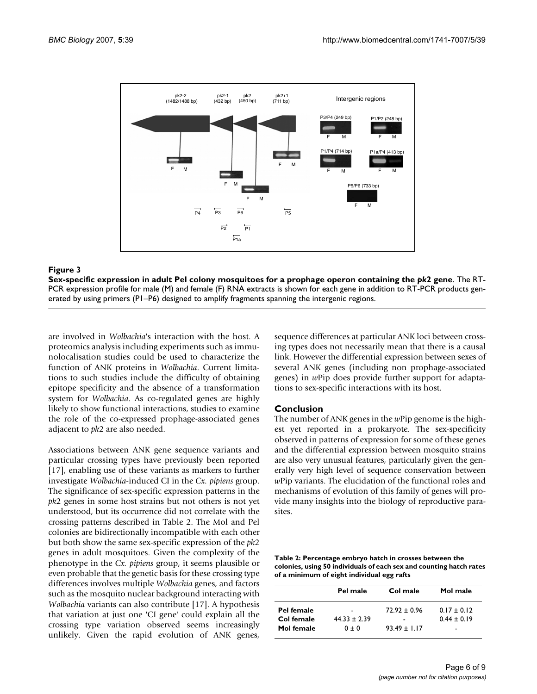

#### Sex-specific expression in adul **Figure 3** t Pel colony mosquitoes for a prophage operon containing the *pk*2 gene

**Sex-specific expression in adult Pel colony mosquitoes for a prophage operon containing the** *pk***2 gene**. The RT-PCR expression profile for male (M) and female (F) RNA extracts is shown for each gene in addition to RT-PCR products generated by using primers (P1–P6) designed to amplify fragments spanning the intergenic regions.

are involved in *Wolbachia*'s interaction with the host. A proteomics analysis including experiments such as immunolocalisation studies could be used to characterize the function of ANK proteins in *Wolbachia*. Current limitations to such studies include the difficulty of obtaining epitope specificity and the absence of a transformation system for *Wolbachia*. As co-regulated genes are highly likely to show functional interactions, studies to examine the role of the co-expressed prophage-associated genes adjacent to *pk*2 are also needed.

Associations between ANK gene sequence variants and particular crossing types have previously been reported [17], enabling use of these variants as markers to further investigate *Wolbachia*-induced CI in the *Cx. pipiens* group. The significance of sex-specific expression patterns in the *pk*2 genes in some host strains but not others is not yet understood, but its occurrence did not correlate with the crossing patterns described in Table 2. The Mol and Pel colonies are bidirectionally incompatible with each other but both show the same sex-specific expression of the *pk*2 genes in adult mosquitoes. Given the complexity of the phenotype in the *Cx. pipiens* group, it seems plausible or even probable that the genetic basis for these crossing type differences involves multiple *Wolbachia* genes, and factors such as the mosquito nuclear background interacting with *Wolbachia* variants can also contribute [17]. A hypothesis that variation at just one 'CI gene' could explain all the crossing type variation observed seems increasingly unlikely. Given the rapid evolution of ANK genes,

sequence differences at particular ANK loci between crossing types does not necessarily mean that there is a causal link. However the differential expression between sexes of several ANK genes (including non prophage-associated genes) in *w*Pip does provide further support for adaptations to sex-specific interactions with its host.

## **Conclusion**

The number of ANK genes in the *w*Pip genome is the highest yet reported in a prokaryote. The sex-specificity observed in patterns of expression for some of these genes and the differential expression between mosquito strains are also very unusual features, particularly given the generally very high level of sequence conservation between *w*Pip variants. The elucidation of the functional roles and mechanisms of evolution of this family of genes will provide many insights into the biology of reproductive parasites.

**Table 2: Percentage embryo hatch in crosses between the colonies, using 50 individuals of each sex and counting hatch rates of a minimum of eight individual egg rafts**

|            | Pel male       | Col male       | Mol male      |
|------------|----------------|----------------|---------------|
| Pel female |                | $72.92 + 0.96$ | $0.17 + 0.12$ |
| Col female | $44.33 + 2.39$ |                | $0.44 + 0.19$ |
| Mol female | $0 + 0$        | $93.49 + 1.17$ | -             |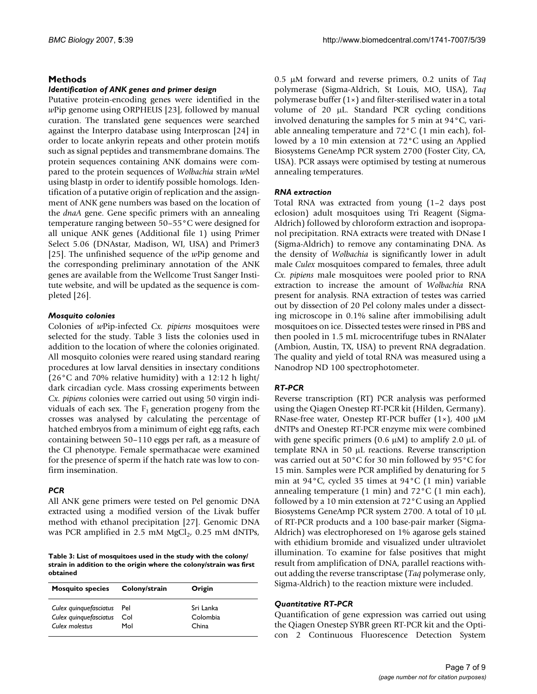# **Methods**

#### *Identification of ANK genes and primer design*

Putative protein-encoding genes were identified in the *w*Pip genome using ORPHEUS [23], followed by manual curation. The translated gene sequences were searched against the Interpro database using Interproscan [24] in order to locate ankyrin repeats and other protein motifs such as signal peptides and transmembrane domains. The protein sequences containing ANK domains were compared to the protein sequences of *Wolbachia* strain *w*Mel using blastp in order to identify possible homologs. Identification of a putative origin of replication and the assignment of ANK gene numbers was based on the location of the *dnaA* gene. Gene specific primers with an annealing temperature ranging between 50–55°C were designed for all unique ANK genes (Additional file 1) using Primer Select 5.06 (DNAstar, Madison, WI, USA) and Primer3 [25]. The unfinished sequence of the *w*Pip genome and the corresponding preliminary annotation of the ANK genes are available from the Wellcome Trust Sanger Institute website, and will be updated as the sequence is completed [26].

## *Mosquito colonies*

Colonies of *w*Pip-infected *Cx. pipiens* mosquitoes were selected for the study. Table 3 lists the colonies used in addition to the location of where the colonies originated. All mosquito colonies were reared using standard rearing procedures at low larval densities in insectary conditions (26°C and 70% relative humidity) with a 12:12 h light/ dark circadian cycle. Mass crossing experiments between *Cx. pipiens* colonies were carried out using 50 virgin individuals of each sex. The  $F_1$  generation progeny from the crosses was analysed by calculating the percentage of hatched embryos from a minimum of eight egg rafts, each containing between 50–110 eggs per raft, as a measure of the CI phenotype. Female spermathacae were examined for the presence of sperm if the hatch rate was low to confirm insemination.

# *PCR*

All ANK gene primers were tested on Pel genomic DNA extracted using a modified version of the Livak buffer method with ethanol precipitation [27]. Genomic DNA was PCR amplified in 2.5 mM  $MgCl<sub>2</sub>$ , 0.25 mM dNTPs,

**Table 3: List of mosquitoes used in the study with the colony/ strain in addition to the origin where the colony/strain was first obtained**

| <b>Mosquito species</b> | Colony/strain | Origin    |
|-------------------------|---------------|-----------|
| Culex quinquefasciatus  | Pel           | Sri Lanka |
| Culex quinquefasciatus  | Col           | Colombia  |
| Culex molestus          | Mol           | China     |

0.5 µM forward and reverse primers, 0.2 units of *Taq* polymerase (Sigma-Aldrich, St Louis, MO, USA), *Taq* polymerase buffer (1×) and filter-sterilised water in a total volume of 20 µL. Standard PCR cycling conditions involved denaturing the samples for 5 min at 94°C, variable annealing temperature and 72°C (1 min each), followed by a 10 min extension at 72°C using an Applied Biosystems GeneAmp PCR system 2700 (Foster City, CA, USA). PCR assays were optimised by testing at numerous annealing temperatures.

## *RNA extraction*

Total RNA was extracted from young (1–2 days post eclosion) adult mosquitoes using Tri Reagent (Sigma-Aldrich) followed by chloroform extraction and isopropanol precipitation. RNA extracts were treated with DNase I (Sigma-Aldrich) to remove any contaminating DNA. As the density of *Wolbachia* is significantly lower in adult male *Culex* mosquitoes compared to females, three adult *Cx. pipiens* male mosquitoes were pooled prior to RNA extraction to increase the amount of *Wolbachia* RNA present for analysis. RNA extraction of testes was carried out by dissection of 20 Pel colony males under a dissecting microscope in 0.1% saline after immobilising adult mosquitoes on ice. Dissected testes were rinsed in PBS and then pooled in 1.5 mL microcentrifuge tubes in RNAlater (Ambion, Austin, TX, USA) to prevent RNA degradation. The quality and yield of total RNA was measured using a Nanodrop ND 100 spectrophotometer.

# *RT-PCR*

Reverse transcription (RT) PCR analysis was performed using the Qiagen Onestep RT-PCR kit (Hilden, Germany). RNase-free water, Onestep RT-PCR buffer (1×), 400 µM dNTPs and Onestep RT-PCR enzyme mix were combined with gene specific primers  $(0.6 \mu M)$  to amplify 2.0  $\mu$ L of template RNA in 50 µL reactions. Reverse transcription was carried out at 50°C for 30 min followed by 95°C for 15 min. Samples were PCR amplified by denaturing for 5 min at 94°C, cycled 35 times at 94°C (1 min) variable annealing temperature (1 min) and 72°C (1 min each), followed by a 10 min extension at 72°C using an Applied Biosystems GeneAmp PCR system 2700. A total of 10 µL of RT-PCR products and a 100 base-pair marker (Sigma-Aldrich) was electrophoresed on 1% agarose gels stained with ethidium bromide and visualized under ultraviolet illumination. To examine for false positives that might result from amplification of DNA, parallel reactions without adding the reverse transcriptase (*Taq* polymerase only, Sigma-Aldrich) to the reaction mixture were included.

## *Quantitative RT-PCR*

Quantification of gene expression was carried out using the Qiagen Onestep SYBR green RT-PCR kit and the Opticon 2 Continuous Fluorescence Detection System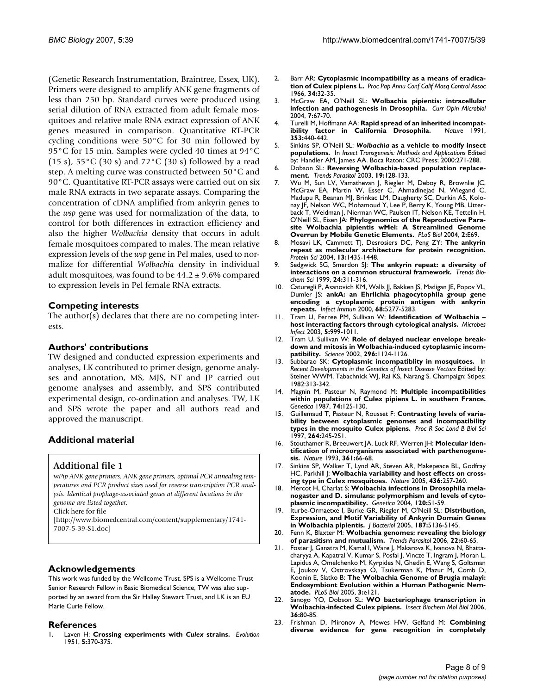(Genetic Research Instrumentation, Braintree, Essex, UK). Primers were designed to amplify ANK gene fragments of less than 250 bp. Standard curves were produced using serial dilution of RNA extracted from adult female mosquitoes and relative male RNA extract expression of ANK genes measured in comparison. Quantitative RT-PCR cycling conditions were 50°C for 30 min followed by 95°C for 15 min. Samples were cycled 40 times at 94°C (15 s),  $55^{\circ}$ C (30 s) and  $72^{\circ}$ C (30 s) followed by a read step. A melting curve was constructed between 50°C and 90°C. Quantitative RT-PCR assays were carried out on six male RNA extracts in two separate assays. Comparing the concentration of cDNA amplified from ankyrin genes to the *wsp* gene was used for normalization of the data, to control for both differences in extraction efficiency and also the higher *Wolbachia* density that occurs in adult female mosquitoes compared to males. The mean relative expression levels of the *wsp* gene in Pel males, used to normalize for differential *Wolbachia* density in individual adult mosquitoes, was found to be  $44.2 \pm 9.6\%$  compared to expression levels in Pel female RNA extracts.

#### **Competing interests**

The author(s) declares that there are no competing interests.

#### **Authors' contributions**

TW designed and conducted expression experiments and analyses, LK contributed to primer design, genome analyses and annotation, MS, MJS, NT and JP carried out genome analyses and assembly, and SPS contributed experimental design, co-ordination and analyses. TW, LK and SPS wrote the paper and all authors read and approved the manuscript.

## **Additional material**

## **Additional file 1**

w*Pip ANK gene primers. ANK gene primers, optimal PCR annealing temperatures and PCR product sizes used for reverse transcription PCR analysis. Identical prophage-associated genes at different locations in the genome are listed together.* Click here for file [\[http://www.biomedcentral.com/content/supplementary/1741-](http://www.biomedcentral.com/content/supplementary/1741-7007-5-39-S1.doc) 7007-5-39-S1.doc]

## **Acknowledgements**

This work was funded by the Wellcome Trust. SPS is a Wellcome Trust Senior Research Fellow in Basic Biomedical Science, TW was also supported by an award from the Sir Halley Stewart Trust, and LK is an EU Marie Curie Fellow.

#### **References**

1. Laven H: **Crossing experiments with** *Culex* **strains.** *Evolution* 1951, **5:**370-375.

- 2. Barr AR: **[Cytoplasmic incompatibility as a means of eradica](http://www.ncbi.nlm.nih.gov/entrez/query.fcgi?cmd=Retrieve&db=PubMed&dopt=Abstract&list_uids=5964219)[tion of Culex pipiens L.](http://www.ncbi.nlm.nih.gov/entrez/query.fcgi?cmd=Retrieve&db=PubMed&dopt=Abstract&list_uids=5964219)** *Proc Pap Annu Conf Calif Mosq Control Assoc* 1966, **34:**32-35.
- 3. McGraw EA, O'Neill SL: **[Wolbachia pipientis: intracellular](http://www.ncbi.nlm.nih.gov/entrez/query.fcgi?cmd=Retrieve&db=PubMed&dopt=Abstract&list_uids=15036143) [infection and pathogenesis in Drosophila.](http://www.ncbi.nlm.nih.gov/entrez/query.fcgi?cmd=Retrieve&db=PubMed&dopt=Abstract&list_uids=15036143)** *Curr Opin Microbiol* 2004, **7:**67-70.
- 4. Turelli M, Hoffmann AA: **[Rapid spread of an inherited incompat](http://www.ncbi.nlm.nih.gov/entrez/query.fcgi?cmd=Retrieve&db=PubMed&dopt=Abstract&list_uids=1896086)[ibility factor in California Drosophila.](http://www.ncbi.nlm.nih.gov/entrez/query.fcgi?cmd=Retrieve&db=PubMed&dopt=Abstract&list_uids=1896086)** *Nature* 1991, **353:**440-442.
- 5. Sinkins SP, O'Neill SL: *Wolbachia* **as a vehicle to modify insect populations.** In *Insect Transgenesis: Methods and Applications* Edited by: Handler AM, James AA. Boca Raton: CRC Press; 2000:271-288.
- 6. Dobson SL: **[Reversing Wolbachia-based population replace](http://www.ncbi.nlm.nih.gov/entrez/query.fcgi?cmd=Retrieve&db=PubMed&dopt=Abstract&list_uids=12643996)[ment.](http://www.ncbi.nlm.nih.gov/entrez/query.fcgi?cmd=Retrieve&db=PubMed&dopt=Abstract&list_uids=12643996)** *Trends Parasitol* 2003, **19:**128-133.
- 7. Wu M, Sun LV, Vamathevan J, Riegler M, Deboy R, Brownlie JC, McGraw EA, Martin W, Esser C, Ahmadinejad N, Wiegand C, Madupu R, Beanan MJ, Brinkac LM, Daugherty SC, Durkin AS, Kolonay JF, Nelson WC, Mohamoud Y, Lee P, Berry K, Young MB, Utterback T, Weidman J, Nierman WC, Paulsen IT, Nelson KE, Tettelin H, O'Neill SL, Eisen JA: **[Phylogenomics of the Reproductive Para](http://www.ncbi.nlm.nih.gov/entrez/query.fcgi?cmd=Retrieve&db=PubMed&dopt=Abstract&list_uids=15024419)[site Wolbachia pipientis wMel: A Streamlined Genome](http://www.ncbi.nlm.nih.gov/entrez/query.fcgi?cmd=Retrieve&db=PubMed&dopt=Abstract&list_uids=15024419) [Overrun by Mobile Genetic Elements.](http://www.ncbi.nlm.nih.gov/entrez/query.fcgi?cmd=Retrieve&db=PubMed&dopt=Abstract&list_uids=15024419)** *PLoS Biol* 2004, **2:**E69.
- 8. Mosavi LK, Cammett TJ, Desrosiers DC, Peng ZY: **[The ankyrin](http://www.ncbi.nlm.nih.gov/entrez/query.fcgi?cmd=Retrieve&db=PubMed&dopt=Abstract&list_uids=15152081) [repeat as molecular architecture for protein recognition.](http://www.ncbi.nlm.nih.gov/entrez/query.fcgi?cmd=Retrieve&db=PubMed&dopt=Abstract&list_uids=15152081)** *Protein Sci* 2004, **13:**1435-1448.
- 9. Sedgwick SG, Smerdon SJ: **[The ankyrin repeat: a diversity of](http://www.ncbi.nlm.nih.gov/entrez/query.fcgi?cmd=Retrieve&db=PubMed&dopt=Abstract&list_uids=10431175) [interactions on a common structural framework.](http://www.ncbi.nlm.nih.gov/entrez/query.fcgi?cmd=Retrieve&db=PubMed&dopt=Abstract&list_uids=10431175)** *Trends Biochem Sci* 1999, **24:**311-316.
- 10. Caturegli P, Asanovich KM, Walls II, Bakken JS, Madigan JE, Popov VL, Dumler JS: **[ankA: an Ehrlichia phagocytophila group gene](http://www.ncbi.nlm.nih.gov/entrez/query.fcgi?cmd=Retrieve&db=PubMed&dopt=Abstract&list_uids=10948155) [encoding a cytoplasmic protein antigen with ankyrin](http://www.ncbi.nlm.nih.gov/entrez/query.fcgi?cmd=Retrieve&db=PubMed&dopt=Abstract&list_uids=10948155) [repeats.](http://www.ncbi.nlm.nih.gov/entrez/query.fcgi?cmd=Retrieve&db=PubMed&dopt=Abstract&list_uids=10948155)** *Infect Immun* 2000, **68:**5277-5283.
- 11. Tram U, Ferree PM, Sullivan W: **[Identification of Wolbachia –](http://www.ncbi.nlm.nih.gov/entrez/query.fcgi?cmd=Retrieve&db=PubMed&dopt=Abstract&list_uids=12941392) [host interacting factors through cytological analysis.](http://www.ncbi.nlm.nih.gov/entrez/query.fcgi?cmd=Retrieve&db=PubMed&dopt=Abstract&list_uids=12941392)** *Microbes Infect* 2003, **5:**999-1011.
- 12. Tram U, Sullivan W: **[Role of delayed nuclear envelope break](http://www.ncbi.nlm.nih.gov/entrez/query.fcgi?cmd=Retrieve&db=PubMed&dopt=Abstract&list_uids=12004132)[down and mitosis in Wolbachia-induced cytoplasmic incom](http://www.ncbi.nlm.nih.gov/entrez/query.fcgi?cmd=Retrieve&db=PubMed&dopt=Abstract&list_uids=12004132)[patibility.](http://www.ncbi.nlm.nih.gov/entrez/query.fcgi?cmd=Retrieve&db=PubMed&dopt=Abstract&list_uids=12004132)** *Science* 2002, **296:**1124-1126.
- 13. Subbarao SK: **Cytoplasmic incompatiblity in mosquitoes.** In *Recent Developments in the Genetics of Insect Disease Vectors* Edited by: Steiner WWM, Tabachnick WJ, Rai KS, Narang S. Champaign: Stipes; 1982:313-342.
- 14. Magnin M, Pasteur N, Raymond M: **[Multiple incompatibilities](http://www.ncbi.nlm.nih.gov/entrez/query.fcgi?cmd=Retrieve&db=PubMed&dopt=Abstract&list_uids=3506532) [within populations of Culex pipiens L. in southern France.](http://www.ncbi.nlm.nih.gov/entrez/query.fcgi?cmd=Retrieve&db=PubMed&dopt=Abstract&list_uids=3506532)** *Genetica* 1987, **74:**125-130.
- 15. Guillemaud T, Pasteur N, Rousset F: **Contrasting levels of variability between cytoplasmic genomes and incompatibility types in the mosquito Culex pipiens.** *Proc R Soc Lond B Biol Sci* 1997, **264:**245-251.
- 16. Stouthamer R, Breeuwert JA, Luck RF, Werren JH: **[Molecular iden](http://www.ncbi.nlm.nih.gov/entrez/query.fcgi?cmd=Retrieve&db=PubMed&dopt=Abstract&list_uids=7538198)[tification of microorganisms associated with parthenogene](http://www.ncbi.nlm.nih.gov/entrez/query.fcgi?cmd=Retrieve&db=PubMed&dopt=Abstract&list_uids=7538198)[sis.](http://www.ncbi.nlm.nih.gov/entrez/query.fcgi?cmd=Retrieve&db=PubMed&dopt=Abstract&list_uids=7538198)** *Nature* 1993, **361:**66-68.
- 17. Sinkins SP, Walker T, Lynd AR, Steven AR, Makepeace BL, Godfray HC, Parkhill J: **[Wolbachia variability and host effects on cross](http://www.ncbi.nlm.nih.gov/entrez/query.fcgi?cmd=Retrieve&db=PubMed&dopt=Abstract&list_uids=16015330)[ing type in Culex mosquitoes.](http://www.ncbi.nlm.nih.gov/entrez/query.fcgi?cmd=Retrieve&db=PubMed&dopt=Abstract&list_uids=16015330)** *Nature* 2005, **436:**257-260.
- 18. Mercot H, Charlat S: **[Wolbachia infections in Drosophila mela](http://www.ncbi.nlm.nih.gov/entrez/query.fcgi?cmd=Retrieve&db=PubMed&dopt=Abstract&list_uids=15088646)[nogaster and D. simulans: polymorphism and levels of cyto](http://www.ncbi.nlm.nih.gov/entrez/query.fcgi?cmd=Retrieve&db=PubMed&dopt=Abstract&list_uids=15088646)[plasmic incompatibility.](http://www.ncbi.nlm.nih.gov/entrez/query.fcgi?cmd=Retrieve&db=PubMed&dopt=Abstract&list_uids=15088646)** *Genetica* 2004, **120:**51-59.
- 19. Iturbe-Ormaetxe I, Burke GR, Riegler M, O'Neill SL: **[Distribution,](http://www.ncbi.nlm.nih.gov/entrez/query.fcgi?cmd=Retrieve&db=PubMed&dopt=Abstract&list_uids=16030207) [Expression, and Motif Variability of Ankyrin Domain Genes](http://www.ncbi.nlm.nih.gov/entrez/query.fcgi?cmd=Retrieve&db=PubMed&dopt=Abstract&list_uids=16030207) [in Wolbachia pipientis.](http://www.ncbi.nlm.nih.gov/entrez/query.fcgi?cmd=Retrieve&db=PubMed&dopt=Abstract&list_uids=16030207)** *J Bacteriol* 2005, **187:**5136-5145.
- 20. Fenn K, Blaxter M: **[Wolbachia genomes: revealing the biology](http://www.ncbi.nlm.nih.gov/entrez/query.fcgi?cmd=Retrieve&db=PubMed&dopt=Abstract&list_uids=16406333) [of parasitism and mutualism.](http://www.ncbi.nlm.nih.gov/entrez/query.fcgi?cmd=Retrieve&db=PubMed&dopt=Abstract&list_uids=16406333)** *Trends Parasitol* 2006, **22:**60-65.
- 21. Foster J, Ganatra M, Kamal I, Ware J, Makarova K, Ivanova N, Bhattacharyya A, Kapatral V, Kumar S, Posfai J, Vincze T, Ingram J, Moran L, Lapidus A, Omelchenko M, Kyrpides N, Ghedin E, Wang S, Goltsman E, Joukov V, Ostrovskaya O, Tsukerman K, Mazur M, Comb D, Koonin E, Slatko B: **[The Wolbachia Genome of Brugia malayi:](http://www.ncbi.nlm.nih.gov/entrez/query.fcgi?cmd=Retrieve&db=PubMed&dopt=Abstract&list_uids=15780005) [Endosymbiont Evolution within a Human Pathogenic Nem](http://www.ncbi.nlm.nih.gov/entrez/query.fcgi?cmd=Retrieve&db=PubMed&dopt=Abstract&list_uids=15780005)[atode.](http://www.ncbi.nlm.nih.gov/entrez/query.fcgi?cmd=Retrieve&db=PubMed&dopt=Abstract&list_uids=15780005)** *PLoS Biol* 2005, **3:**e121.
- 22. Sanogo YO, Dobson SL: **[WO bacteriophage transcription in](http://www.ncbi.nlm.nih.gov/entrez/query.fcgi?cmd=Retrieve&db=PubMed&dopt=Abstract&list_uids=16360953) [Wolbachia-infected Culex pipiens.](http://www.ncbi.nlm.nih.gov/entrez/query.fcgi?cmd=Retrieve&db=PubMed&dopt=Abstract&list_uids=16360953)** *Insect Biochem Mol Biol* 2006, **36:**80-85.
- 23. Frishman D, Mironov A, Mewes HW, Gelfand M: **[Combining](http://www.ncbi.nlm.nih.gov/entrez/query.fcgi?cmd=Retrieve&db=PubMed&dopt=Abstract&list_uids=9611239) [diverse evidence for gene recognition in completely](http://www.ncbi.nlm.nih.gov/entrez/query.fcgi?cmd=Retrieve&db=PubMed&dopt=Abstract&list_uids=9611239)**